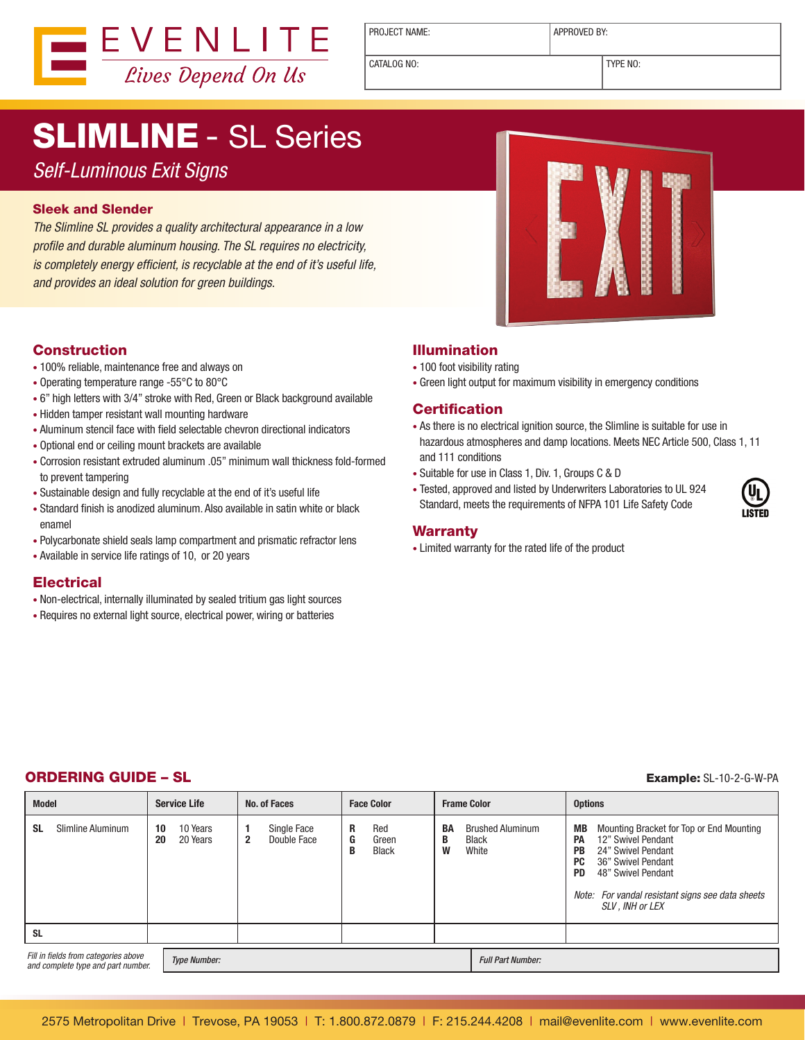

PROJECT NAME:  $\vert$  APPROVED BY:

CATALOG NO: TYPE NO:

# SLIMLINE - SL Series

Self-Luminous Exit Signs

#### Sleek and Slender

The Slimline SL provides a quality architectural appearance in a low profile and durable aluminum housing. The SL requires no electricity, is completely energy efficient, is recyclable at the end of it's useful life, and provides an ideal solution for green buildings.

#### Construction

- 100% reliable, maintenance free and always on
- Operating temperature range -55°C to 80°C
- 6" high letters with 3/4" stroke with Red, Green or Black background available
- Hidden tamper resistant wall mounting hardware
- Aluminum stencil face with field selectable chevron directional indicators
- Optional end or ceiling mount brackets are available
- Corrosion resistant extruded aluminum .05" minimum wall thickness fold-formed to prevent tampering
- Sustainable design and fully recyclable at the end of it's useful life
- Standard finish is anodized aluminum. Also available in satin white or black enamel
- Polycarbonate shield seals lamp compartment and prismatic refractor lens
- Available in service life ratings of 10, or 20 years

#### **Electrical**

- Non-electrical, internally illuminated by sealed tritium gas light sources
- Requires no external light source, electrical power, wiring or batteries



#### Illumination

- 100 foot visibility rating
- Green light output for maximum visibility in emergency conditions

#### **Certification**

- As there is no electrical ignition source, the Slimline is suitable for use in hazardous atmospheres and damp locations. Meets NEC Article 500, Class 1, 11 and 111 conditions
- Suitable for use in Class 1, Div. 1, Groups C & D
- Tested, approved and listed by Underwriters Laboratories to UL 924 Standard, meets the requirements of NFPA 101 Life Safety Code

#### Warranty

• Limited warranty for the rated life of the product

### ORDERING GUIDE – SL Example: SL-10-2-G-W-PA

| <b>Model</b>                                                               | <b>Service Life</b>              | No. of Faces                               | <b>Face Color</b>                           | <b>Frame Color</b>                                               | <b>Options</b>                                                                                                                                                                                                                                       |
|----------------------------------------------------------------------------|----------------------------------|--------------------------------------------|---------------------------------------------|------------------------------------------------------------------|------------------------------------------------------------------------------------------------------------------------------------------------------------------------------------------------------------------------------------------------------|
| Slimline Aluminum<br>-SL                                                   | 10 Years<br>10<br>20 Years<br>20 | Single Face<br>Double Face<br>$\mathbf{2}$ | Red<br>R<br>G<br>Green<br><b>Black</b><br>B | <b>Brushed Aluminum</b><br>BA<br>B<br><b>Black</b><br>W<br>White | Mounting Bracket for Top or End Mounting<br>MВ<br>12" Swivel Pendant<br>PА<br>24" Swivel Pendant<br><b>PB</b><br>PC.<br>36" Swivel Pendant<br>48" Swivel Pendant<br><b>PD</b><br>Note: For vandal resistant signs see data sheets<br>SLV, INH or LEX |
| <b>SL</b>                                                                  |                                  |                                            |                                             |                                                                  |                                                                                                                                                                                                                                                      |
| Fill in fields from categories above<br>and complete type and part number. | <b>Type Number:</b>              |                                            |                                             | <b>Full Part Number:</b>                                         |                                                                                                                                                                                                                                                      |